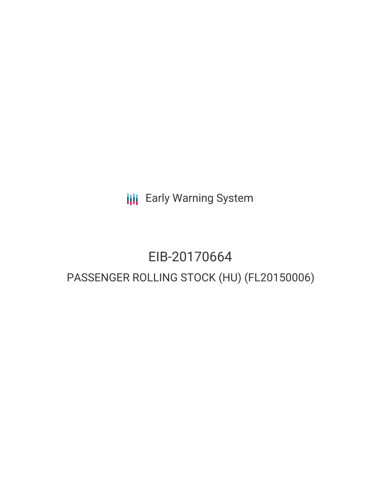**III** Early Warning System

# EIB-20170664 PASSENGER ROLLING STOCK (HU) (FL20150006)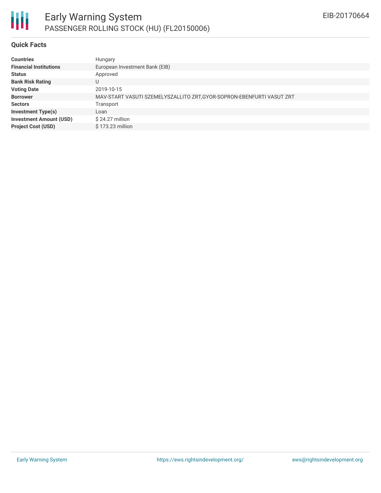

#### **Quick Facts**

| <b>Countries</b>               | Hungary                                                               |
|--------------------------------|-----------------------------------------------------------------------|
| <b>Financial Institutions</b>  | European Investment Bank (EIB)                                        |
| <b>Status</b>                  | Approved                                                              |
| <b>Bank Risk Rating</b>        | U                                                                     |
| <b>Voting Date</b>             | 2019-10-15                                                            |
| <b>Borrower</b>                | MAV-START VASUTI SZEMELYSZALLITO ZRT, GYOR-SOPRON-EBENFURTI VASUT ZRT |
| <b>Sectors</b>                 | Transport                                                             |
| <b>Investment Type(s)</b>      | Loan                                                                  |
| <b>Investment Amount (USD)</b> | $$24.27$ million                                                      |
| <b>Project Cost (USD)</b>      | \$173.23 million                                                      |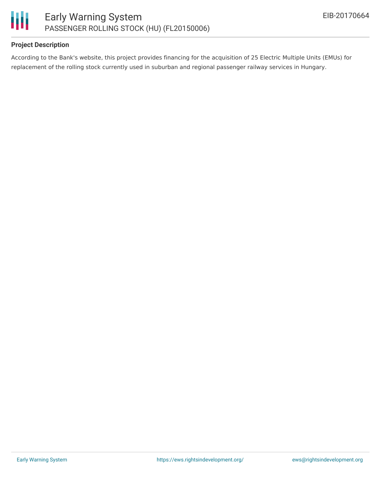

# **Project Description**

According to the Bank's website, this project provides financing for the acquisition of 25 Electric Multiple Units (EMUs) for replacement of the rolling stock currently used in suburban and regional passenger railway services in Hungary.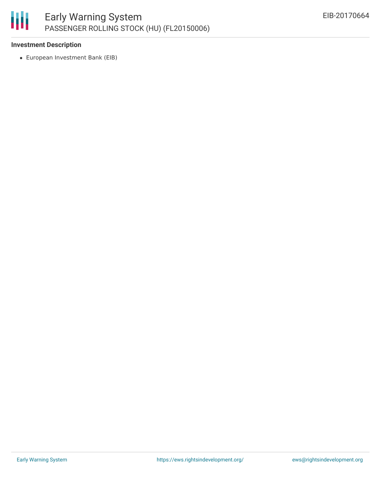

# **Investment Description**

European Investment Bank (EIB)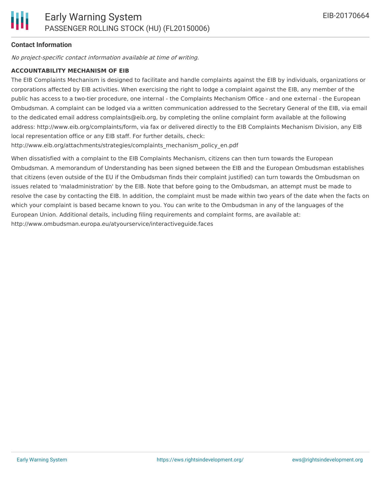# **Contact Information**

No project-specific contact information available at time of writing.

### **ACCOUNTABILITY MECHANISM OF EIB**

The EIB Complaints Mechanism is designed to facilitate and handle complaints against the EIB by individuals, organizations or corporations affected by EIB activities. When exercising the right to lodge a complaint against the EIB, any member of the public has access to a two-tier procedure, one internal - the Complaints Mechanism Office - and one external - the European Ombudsman. A complaint can be lodged via a written communication addressed to the Secretary General of the EIB, via email to the dedicated email address complaints@eib.org, by completing the online complaint form available at the following address: http://www.eib.org/complaints/form, via fax or delivered directly to the EIB Complaints Mechanism Division, any EIB local representation office or any EIB staff. For further details, check:

http://www.eib.org/attachments/strategies/complaints\_mechanism\_policy\_en.pdf

When dissatisfied with a complaint to the EIB Complaints Mechanism, citizens can then turn towards the European Ombudsman. A memorandum of Understanding has been signed between the EIB and the European Ombudsman establishes that citizens (even outside of the EU if the Ombudsman finds their complaint justified) can turn towards the Ombudsman on issues related to 'maladministration' by the EIB. Note that before going to the Ombudsman, an attempt must be made to resolve the case by contacting the EIB. In addition, the complaint must be made within two years of the date when the facts on which your complaint is based became known to you. You can write to the Ombudsman in any of the languages of the European Union. Additional details, including filing requirements and complaint forms, are available at: http://www.ombudsman.europa.eu/atyourservice/interactiveguide.faces